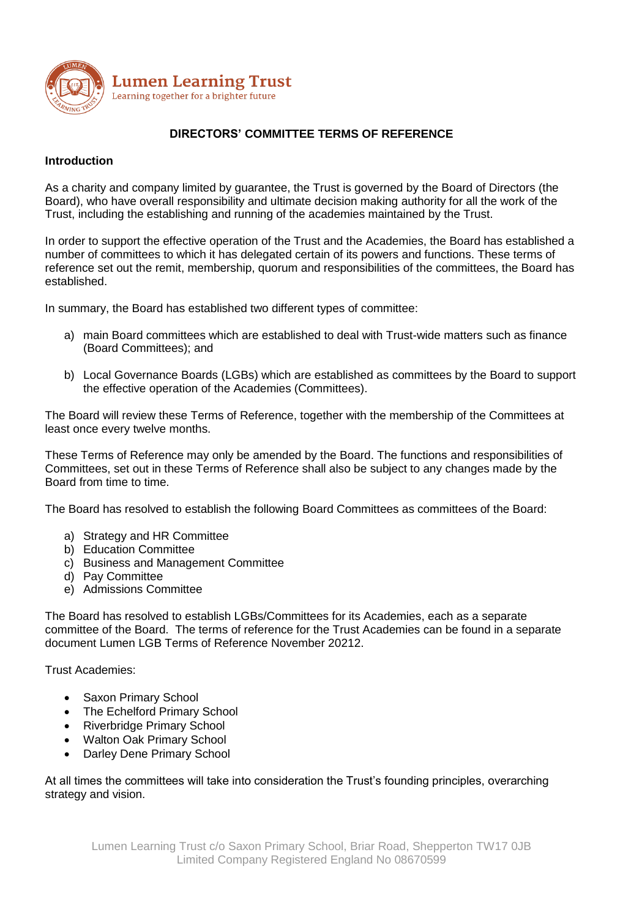

# **DIRECTORS' COMMITTEE TERMS OF REFERENCE**

### **Introduction**

As a charity and company limited by guarantee, the Trust is governed by the Board of Directors (the Board), who have overall responsibility and ultimate decision making authority for all the work of the Trust, including the establishing and running of the academies maintained by the Trust.

In order to support the effective operation of the Trust and the Academies, the Board has established a number of committees to which it has delegated certain of its powers and functions. These terms of reference set out the remit, membership, quorum and responsibilities of the committees, the Board has established.

In summary, the Board has established two different types of committee:

- a) main Board committees which are established to deal with Trust-wide matters such as finance (Board Committees); and
- b) Local Governance Boards (LGBs) which are established as committees by the Board to support the effective operation of the Academies (Committees).

The Board will review these Terms of Reference, together with the membership of the Committees at least once every twelve months.

These Terms of Reference may only be amended by the Board. The functions and responsibilities of Committees, set out in these Terms of Reference shall also be subject to any changes made by the Board from time to time.

The Board has resolved to establish the following Board Committees as committees of the Board:

- a) Strategy and HR Committee
- b) Education Committee
- c) Business and Management Committee
- d) Pay Committee
- e) Admissions Committee

The Board has resolved to establish LGBs/Committees for its Academies, each as a separate committee of the Board. The terms of reference for the Trust Academies can be found in a separate document Lumen LGB Terms of Reference November 20212.

Trust Academies:

- Saxon Primary School
- The Echelford Primary School
- Riverbridge Primary School
- Walton Oak Primary School
- Darley Dene Primary School

At all times the committees will take into consideration the Trust's founding principles, overarching strategy and vision.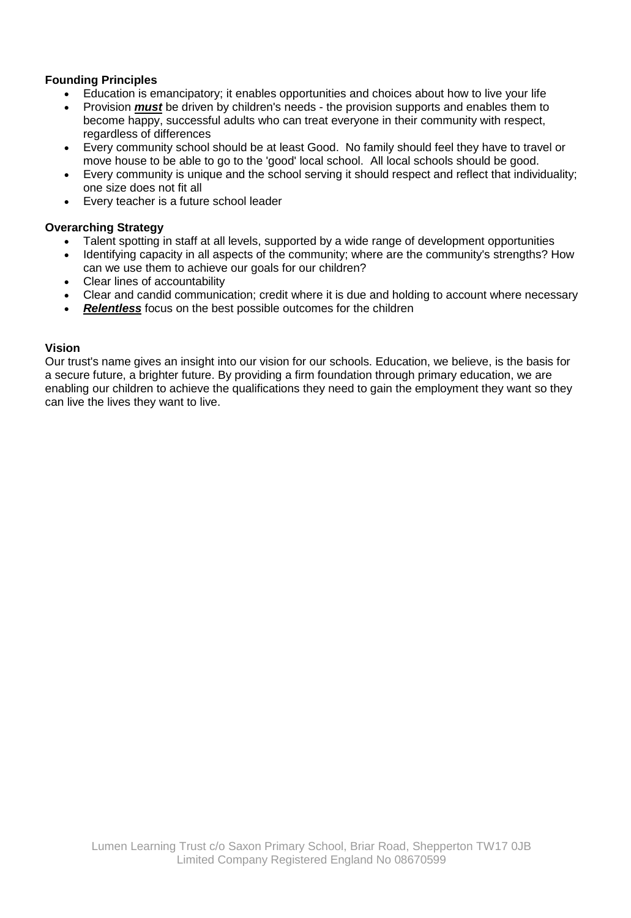# **Founding Principles**

- Education is emancipatory; it enables opportunities and choices about how to live your life
- Provision *must* be driven by children's needs the provision supports and enables them to become happy, successful adults who can treat everyone in their community with respect, regardless of differences
- Every community school should be at least Good. No family should feel they have to travel or move house to be able to go to the 'good' local school. All local schools should be good.
- Every community is unique and the school serving it should respect and reflect that individuality; one size does not fit all
- Every teacher is a future school leader

# **Overarching Strategy**

- Talent spotting in staff at all levels, supported by a wide range of development opportunities
- Identifying capacity in all aspects of the community; where are the community's strengths? How can we use them to achieve our goals for our children?
- Clear lines of accountability
- Clear and candid communication; credit where it is due and holding to account where necessary
- *Relentless* focus on the best possible outcomes for the children

### **Vision**

Our trust's name gives an insight into our vision for our schools. Education, we believe, is the basis for a secure future, a brighter future. By providing a firm foundation through primary education, we are enabling our children to achieve the qualifications they need to gain the employment they want so they can live the lives they want to live.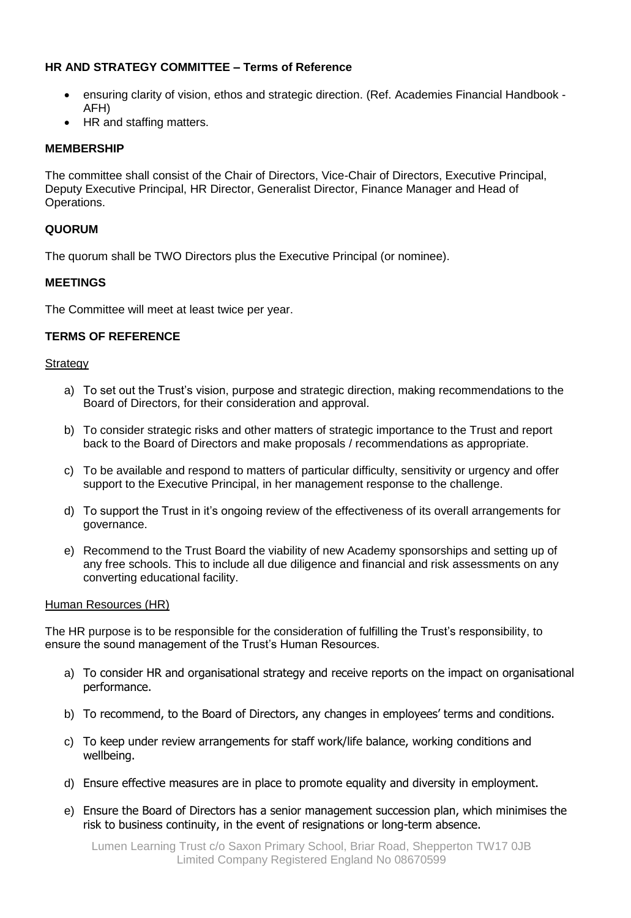# **HR AND STRATEGY COMMITTEE – Terms of Reference**

- ensuring clarity of vision, ethos and strategic direction. (Ref. Academies Financial Handbook AFH)
- HR and staffing matters.

# **MEMBERSHIP**

The committee shall consist of the Chair of Directors, Vice-Chair of Directors, Executive Principal, Deputy Executive Principal, HR Director, Generalist Director, Finance Manager and Head of Operations.

### **QUORUM**

The quorum shall be TWO Directors plus the Executive Principal (or nominee).

### **MEETINGS**

The Committee will meet at least twice per year.

# **TERMS OF REFERENCE**

#### **Strategy**

- a) To set out the Trust's vision, purpose and strategic direction, making recommendations to the Board of Directors, for their consideration and approval.
- b) To consider strategic risks and other matters of strategic importance to the Trust and report back to the Board of Directors and make proposals / recommendations as appropriate.
- c) To be available and respond to matters of particular difficulty, sensitivity or urgency and offer support to the Executive Principal, in her management response to the challenge.
- d) To support the Trust in it's ongoing review of the effectiveness of its overall arrangements for governance.
- e) Recommend to the Trust Board the viability of new Academy sponsorships and setting up of any free schools. This to include all due diligence and financial and risk assessments on any converting educational facility.

#### Human Resources (HR)

The HR purpose is to be responsible for the consideration of fulfilling the Trust's responsibility, to ensure the sound management of the Trust's Human Resources.

- a) To consider HR and organisational strategy and receive reports on the impact on organisational performance.
- b) To recommend, to the Board of Directors, any changes in employees' terms and conditions.
- c) To keep under review arrangements for staff work/life balance, working conditions and wellbeing.
- d) Ensure effective measures are in place to promote equality and diversity in employment.
- e) Ensure the Board of Directors has a senior management succession plan, which minimises the risk to business continuity, in the event of resignations or long-term absence.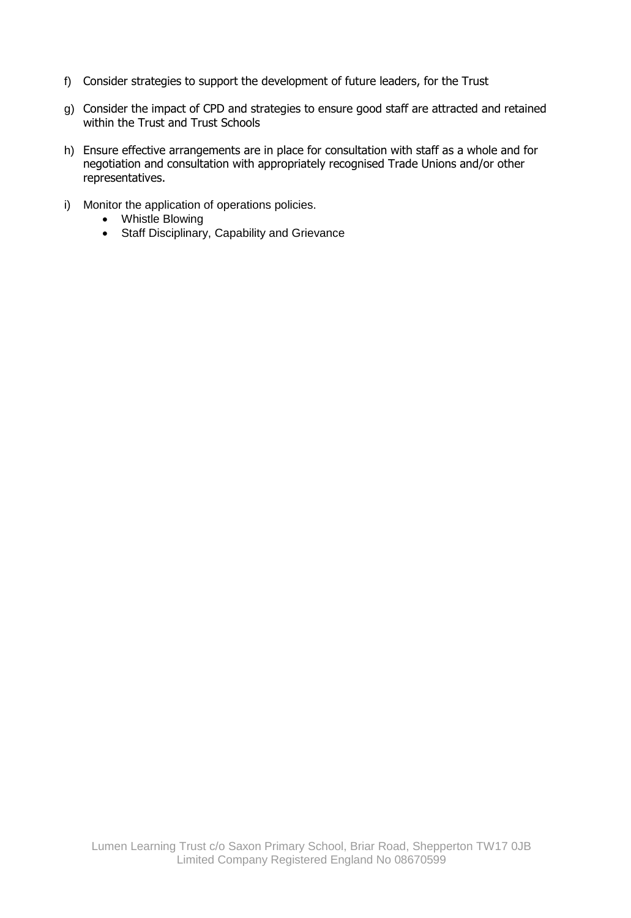- f) Consider strategies to support the development of future leaders, for the Trust
- g) Consider the impact of CPD and strategies to ensure good staff are attracted and retained within the Trust and Trust Schools
- h) Ensure effective arrangements are in place for consultation with staff as a whole and for negotiation and consultation with appropriately recognised Trade Unions and/or other representatives.
- i) Monitor the application of operations policies.
	- Whistle Blowing
	- Staff Disciplinary, Capability and Grievance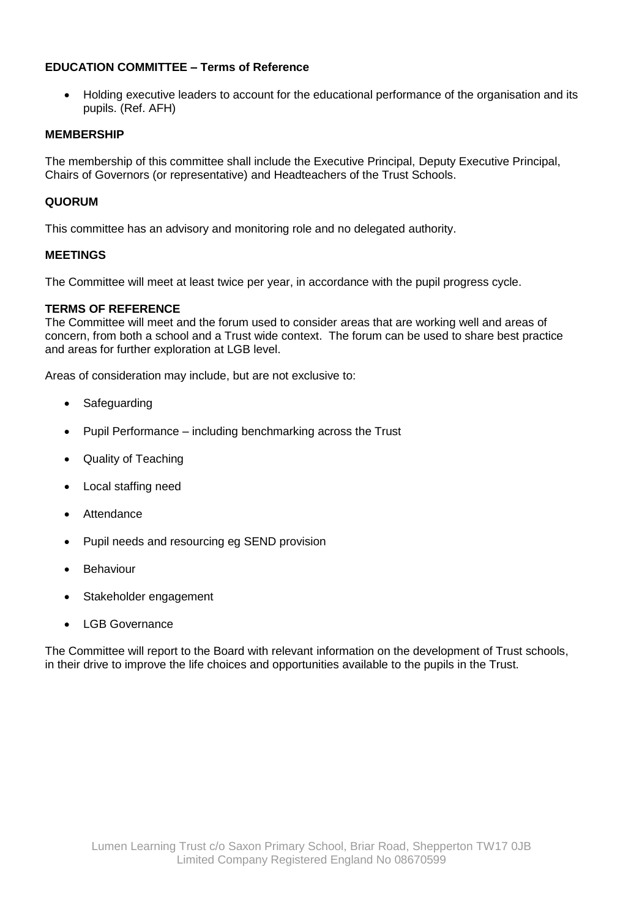# **EDUCATION COMMITTEE – Terms of Reference**

 Holding executive leaders to account for the educational performance of the organisation and its pupils. (Ref. AFH)

#### **MEMBERSHIP**

The membership of this committee shall include the Executive Principal, Deputy Executive Principal, Chairs of Governors (or representative) and Headteachers of the Trust Schools.

### **QUORUM**

This committee has an advisory and monitoring role and no delegated authority.

### **MEETINGS**

The Committee will meet at least twice per year, in accordance with the pupil progress cycle.

### **TERMS OF REFERENCE**

The Committee will meet and the forum used to consider areas that are working well and areas of concern, from both a school and a Trust wide context. The forum can be used to share best practice and areas for further exploration at LGB level.

Areas of consideration may include, but are not exclusive to:

- Safeguarding
- Pupil Performance including benchmarking across the Trust
- Quality of Teaching
- Local staffing need
- Attendance
- Pupil needs and resourcing eg SEND provision
- Behaviour
- Stakeholder engagement
- LGB Governance

The Committee will report to the Board with relevant information on the development of Trust schools, in their drive to improve the life choices and opportunities available to the pupils in the Trust.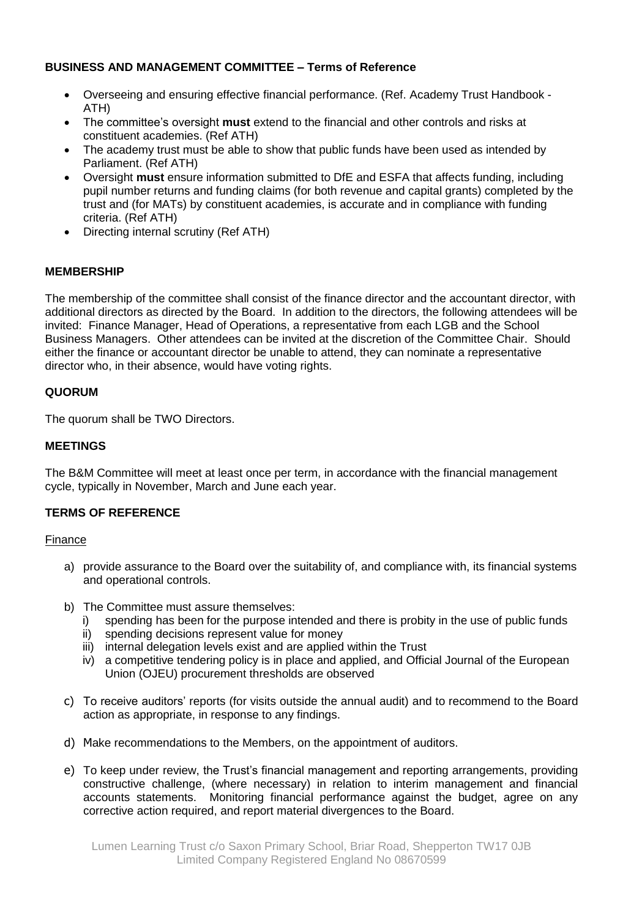# **BUSINESS AND MANAGEMENT COMMITTEE – Terms of Reference**

- Overseeing and ensuring effective financial performance. (Ref. Academy Trust Handbook ATH)
- The committee's oversight **must** extend to the financial and other controls and risks at constituent academies. (Ref ATH)
- The academy trust must be able to show that public funds have been used as intended by Parliament. (Ref ATH)
- Oversight **must** ensure information submitted to DfE and ESFA that affects funding, including pupil number returns and funding claims (for both revenue and capital grants) completed by the trust and (for MATs) by constituent academies, is accurate and in compliance with funding criteria. (Ref ATH)
- Directing internal scrutiny (Ref ATH)

# **MEMBERSHIP**

The membership of the committee shall consist of the finance director and the accountant director, with additional directors as directed by the Board. In addition to the directors, the following attendees will be invited: Finance Manager, Head of Operations, a representative from each LGB and the School Business Managers. Other attendees can be invited at the discretion of the Committee Chair. Should either the finance or accountant director be unable to attend, they can nominate a representative director who, in their absence, would have voting rights.

### **QUORUM**

The quorum shall be TWO Directors.

### **MEETINGS**

The B&M Committee will meet at least once per term, in accordance with the financial management cycle, typically in November, March and June each year.

# **TERMS OF REFERENCE**

#### Finance

- a) provide assurance to the Board over the suitability of, and compliance with, its financial systems and operational controls.
- b) The Committee must assure themselves:
	- i) spending has been for the purpose intended and there is probity in the use of public funds
	- ii) spending decisions represent value for money
	- iii) internal delegation levels exist and are applied within the Trust
	- iv) a competitive tendering policy is in place and applied, and Official Journal of the European Union (OJEU) procurement thresholds are observed
- c) To receive auditors' reports (for visits outside the annual audit) and to recommend to the Board action as appropriate, in response to any findings.
- d) Make recommendations to the Members, on the appointment of auditors.
- e) To keep under review, the Trust's financial management and reporting arrangements, providing constructive challenge, (where necessary) in relation to interim management and financial accounts statements. Monitoring financial performance against the budget, agree on any corrective action required, and report material divergences to the Board.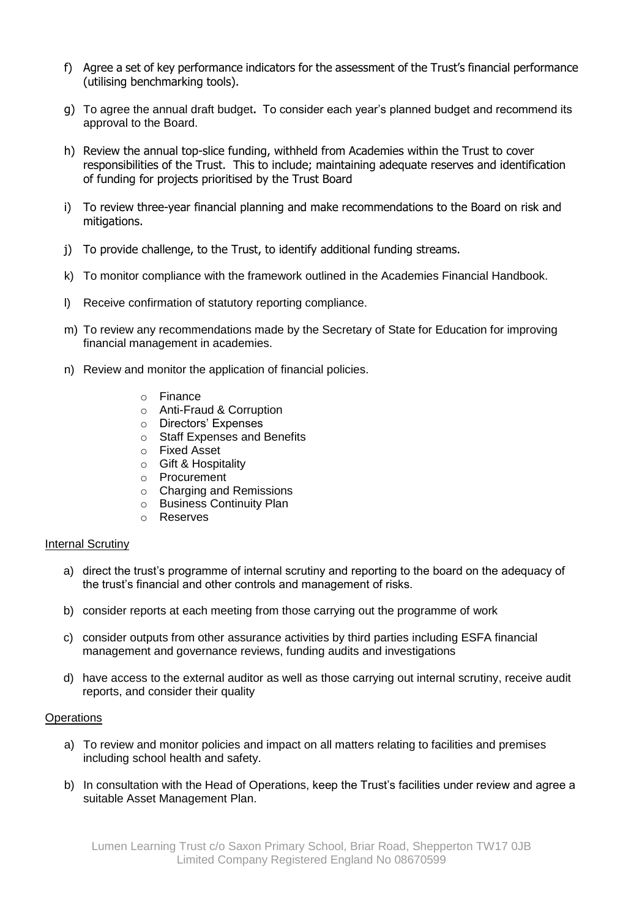- f) Agree a set of key performance indicators for the assessment of the Trust's financial performance (utilising benchmarking tools).
- g) To agree the annual draft budget**.** To consider each year's planned budget and recommend its approval to the Board.
- h) Review the annual top-slice funding, withheld from Academies within the Trust to cover responsibilities of the Trust. This to include; maintaining adequate reserves and identification of funding for projects prioritised by the Trust Board
- i) To review three-year financial planning and make recommendations to the Board on risk and mitigations.
- j) To provide challenge, to the Trust, to identify additional funding streams.
- k) To monitor compliance with the framework outlined in the Academies Financial Handbook.
- l) Receive confirmation of statutory reporting compliance.
- m) To review any recommendations made by the Secretary of State for Education for improving financial management in academies.
- n) Review and monitor the application of financial policies.
	- o Finance
	- o Anti-Fraud & Corruption
	- o Directors' Expenses
	- o Staff Expenses and Benefits
	- o Fixed Asset
	- o Gift & Hospitality
	- o Procurement
	- o Charging and Remissions
	- o Business Continuity Plan
	- o Reserves

#### Internal Scrutiny

- a) direct the trust's programme of internal scrutiny and reporting to the board on the adequacy of the trust's financial and other controls and management of risks.
- b) consider reports at each meeting from those carrying out the programme of work
- c) consider outputs from other assurance activities by third parties including ESFA financial management and governance reviews, funding audits and investigations
- d) have access to the external auditor as well as those carrying out internal scrutiny, receive audit reports, and consider their quality

#### **Operations**

- a) To review and monitor policies and impact on all matters relating to facilities and premises including school health and safety.
- b) In consultation with the Head of Operations, keep the Trust's facilities under review and agree a suitable Asset Management Plan.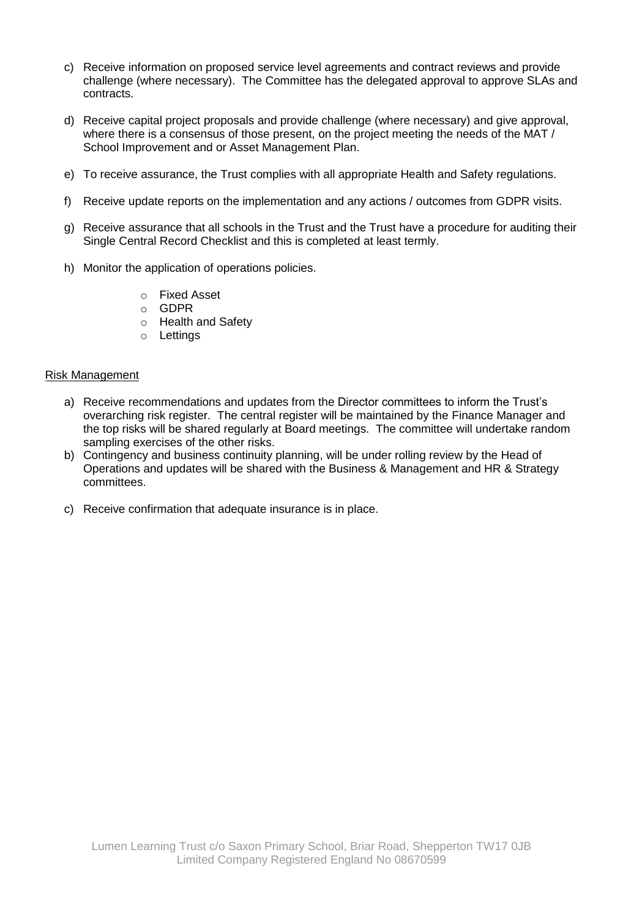- c) Receive information on proposed service level agreements and contract reviews and provide challenge (where necessary). The Committee has the delegated approval to approve SLAs and contracts.
- d) Receive capital project proposals and provide challenge (where necessary) and give approval, where there is a consensus of those present, on the project meeting the needs of the MAT / School Improvement and or Asset Management Plan.
- e) To receive assurance, the Trust complies with all appropriate Health and Safety regulations.
- f) Receive update reports on the implementation and any actions / outcomes from GDPR visits.
- g) Receive assurance that all schools in the Trust and the Trust have a procedure for auditing their Single Central Record Checklist and this is completed at least termly.
- h) Monitor the application of operations policies.
	- o Fixed Asset
	- o GDPR
	- o Health and Safety
	- o Lettings

#### Risk Management

- a) Receive recommendations and updates from the Director committees to inform the Trust's overarching risk register. The central register will be maintained by the Finance Manager and the top risks will be shared regularly at Board meetings. The committee will undertake random sampling exercises of the other risks.
- b) Contingency and business continuity planning, will be under rolling review by the Head of Operations and updates will be shared with the Business & Management and HR & Strategy committees.
- c) Receive confirmation that adequate insurance is in place.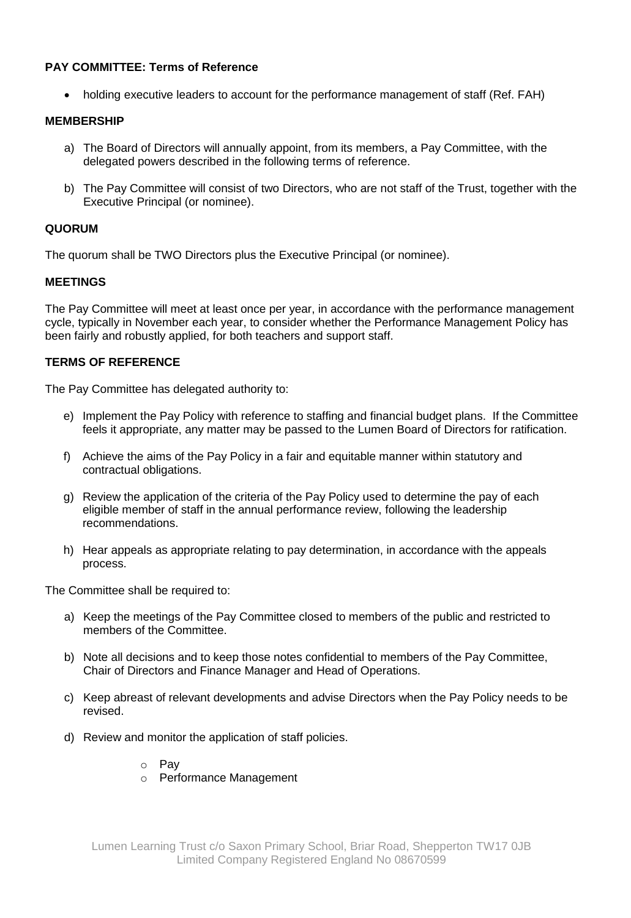# **PAY COMMITTEE: Terms of Reference**

• holding executive leaders to account for the performance management of staff (Ref. FAH)

#### **MEMBERSHIP**

- a) The Board of Directors will annually appoint, from its members, a Pay Committee, with the delegated powers described in the following terms of reference.
- b) The Pay Committee will consist of two Directors, who are not staff of the Trust, together with the Executive Principal (or nominee).

### **QUORUM**

The quorum shall be TWO Directors plus the Executive Principal (or nominee).

#### **MEETINGS**

The Pay Committee will meet at least once per year, in accordance with the performance management cycle, typically in November each year, to consider whether the Performance Management Policy has been fairly and robustly applied, for both teachers and support staff.

### **TERMS OF REFERENCE**

The Pay Committee has delegated authority to:

- e) Implement the Pay Policy with reference to staffing and financial budget plans. If the Committee feels it appropriate, any matter may be passed to the Lumen Board of Directors for ratification.
- f) Achieve the aims of the Pay Policy in a fair and equitable manner within statutory and contractual obligations.
- g) Review the application of the criteria of the Pay Policy used to determine the pay of each eligible member of staff in the annual performance review, following the leadership recommendations.
- h) Hear appeals as appropriate relating to pay determination, in accordance with the appeals process.

The Committee shall be required to:

- a) Keep the meetings of the Pay Committee closed to members of the public and restricted to members of the Committee.
- b) Note all decisions and to keep those notes confidential to members of the Pay Committee, Chair of Directors and Finance Manager and Head of Operations.
- c) Keep abreast of relevant developments and advise Directors when the Pay Policy needs to be revised.
- d) Review and monitor the application of staff policies.
	- o Pay
	- o Performance Management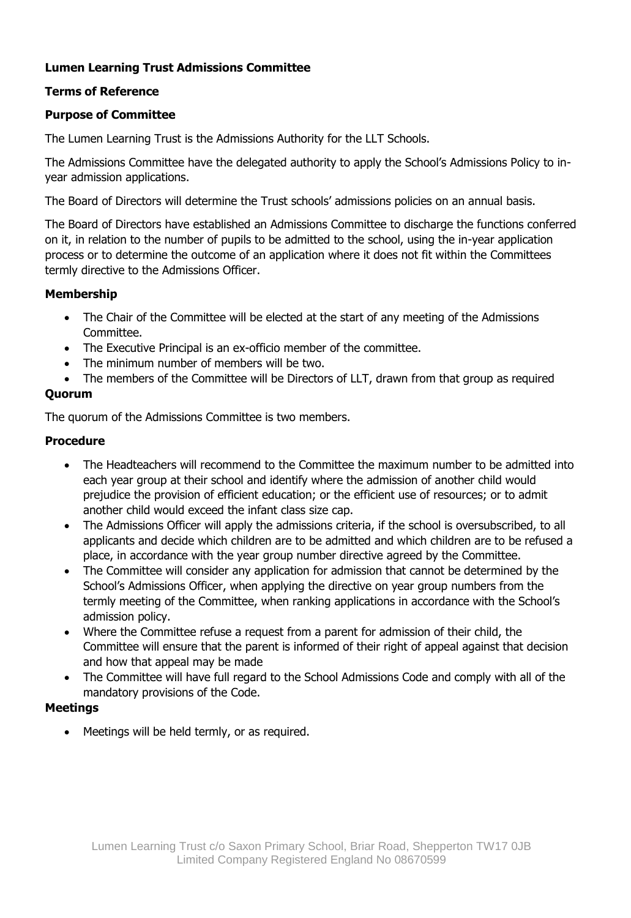# **Lumen Learning Trust Admissions Committee**

# **Terms of Reference**

# **Purpose of Committee**

The Lumen Learning Trust is the Admissions Authority for the LLT Schools.

The Admissions Committee have the delegated authority to apply the School's Admissions Policy to inyear admission applications.

The Board of Directors will determine the Trust schools' admissions policies on an annual basis.

The Board of Directors have established an Admissions Committee to discharge the functions conferred on it, in relation to the number of pupils to be admitted to the school, using the in-year application process or to determine the outcome of an application where it does not fit within the Committees termly directive to the Admissions Officer.

# **Membership**

- The Chair of the Committee will be elected at the start of any meeting of the Admissions Committee.
- The Executive Principal is an ex-officio member of the committee.
- The minimum number of members will be two.
- The members of the Committee will be Directors of LLT, drawn from that group as required

# **Quorum**

The quorum of the Admissions Committee is two members.

# **Procedure**

- The Headteachers will recommend to the Committee the maximum number to be admitted into each year group at their school and identify where the admission of another child would prejudice the provision of efficient education; or the efficient use of resources; or to admit another child would exceed the infant class size cap.
- The Admissions Officer will apply the admissions criteria, if the school is oversubscribed, to all applicants and decide which children are to be admitted and which children are to be refused a place, in accordance with the year group number directive agreed by the Committee.
- The Committee will consider any application for admission that cannot be determined by the School's Admissions Officer, when applying the directive on year group numbers from the termly meeting of the Committee, when ranking applications in accordance with the School's admission policy.
- Where the Committee refuse a request from a parent for admission of their child, the Committee will ensure that the parent is informed of their right of appeal against that decision and how that appeal may be made
- The Committee will have full regard to the School Admissions Code and comply with all of the mandatory provisions of the Code.

# **Meetings**

• Meetings will be held termly, or as required.